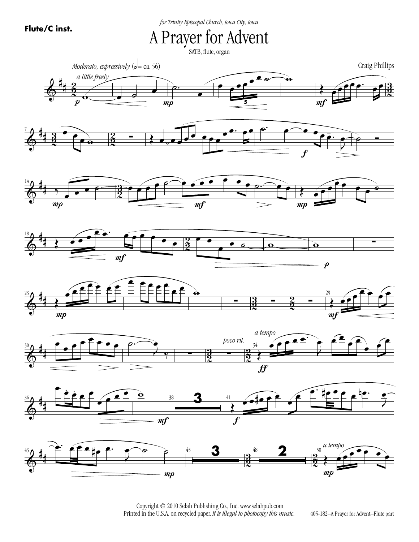*for Trinity Episcopal Church, Iowa City, Iowa*

A Prayer for Advent

SATB, flute, organ

















 Copyright © 2010 Selah Publishing Co., Inc. www.selahpub.com Printed in the U.S.A. on recycled paper. *It is illegal to photocopy this music.* 

405-182–A Prayer for Advent–Flute part